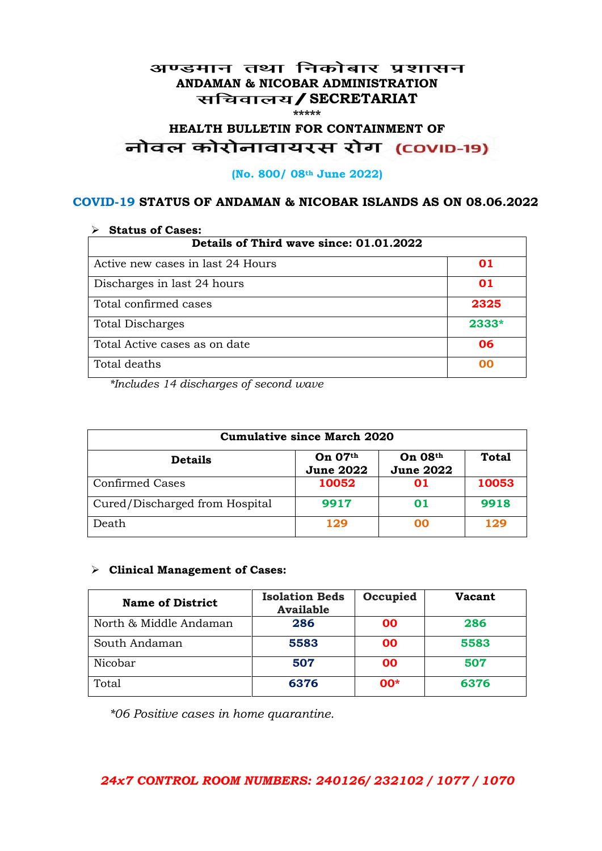#### अण्डमान तथा निकोबार प्रशासन **ANDAMAN & NICOBAR ADMINISTRATION /SECRETARIAT \*\*\*\*\***

# HEALTH BULLETIN FOR CONTAINMENT OF<br>बोवल कोरोनावायरस रोग (COVID-19)

#### **(No. 800/ 08th June 2022)**

#### **COVID-19 STATUS OF ANDAMAN & NICOBAR ISLANDS AS ON 08.06.2022**

| <b>Status of Cases:</b>                 |       |  |
|-----------------------------------------|-------|--|
| Details of Third wave since: 01.01.2022 |       |  |
| Active new cases in last 24 Hours       | 01    |  |
| Discharges in last 24 hours             | 01    |  |
| Total confirmed cases                   | 2325  |  |
| <b>Total Discharges</b>                 | 2333* |  |
| Total Active cases as on date           | 06    |  |
| Total deaths                            | OO    |  |

*\*Includes 14 discharges of second wave*

| <b>Cumulative since March 2020</b> |                             |                             |              |
|------------------------------------|-----------------------------|-----------------------------|--------------|
| <b>Details</b>                     | On 07th<br><b>June 2022</b> | On 08th<br><b>June 2022</b> | <b>Total</b> |
| <b>Confirmed Cases</b>             | 10052                       | 01                          | 10053        |
| Cured/Discharged from Hospital     | 9917                        | 01                          | 9918         |
| Death                              | 129                         | ററ                          | 129          |

#### **Clinical Management of Cases:**

| <b>Name of District</b> | <b>Isolation Beds</b><br><b>Available</b> | Occupied  | Vacant |
|-------------------------|-------------------------------------------|-----------|--------|
| North & Middle Andaman  | 286                                       | <b>OO</b> | 286    |
| South Andaman           | 5583                                      | <b>OO</b> | 5583   |
| Nicobar                 | 507                                       | <b>OO</b> | 507    |
| Total                   | 6376                                      | $00*$     | 6376   |

*\*06 Positive cases in home quarantine.*

#### *24x7 CONTROL ROOM NUMBERS: 240126/ 232102 / 1077 / 1070*